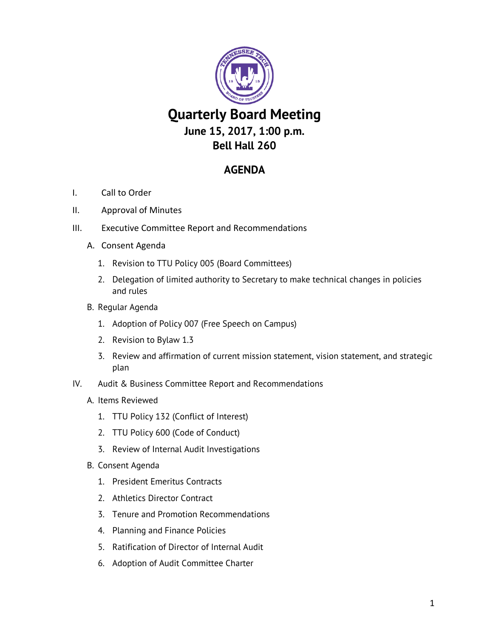

## **AGENDA**

- I. Call to Order
- II. Approval of Minutes
- III. Executive Committee Report and Recommendations
	- A. Consent Agenda
		- 1. Revision to TTU Policy 005 (Board Committees)
		- 2. Delegation of limited authority to Secretary to make technical changes in policies and rules
	- B. Regular Agenda
		- 1. Adoption of Policy 007 (Free Speech on Campus)
		- 2. Revision to Bylaw 1.3
		- 3. Review and affirmation of current mission statement, vision statement, and strategic plan
- IV. Audit & Business Committee Report and Recommendations
	- A. Items Reviewed
		- 1. TTU Policy 132 (Conflict of Interest)
		- 2. TTU Policy 600 (Code of Conduct)
		- 3. Review of Internal Audit Investigations
	- B. Consent Agenda
		- 1. President Emeritus Contracts
		- 2. Athletics Director Contract
		- 3. Tenure and Promotion Recommendations
		- 4. Planning and Finance Policies
		- 5. Ratification of Director of Internal Audit
		- 6. Adoption of Audit Committee Charter